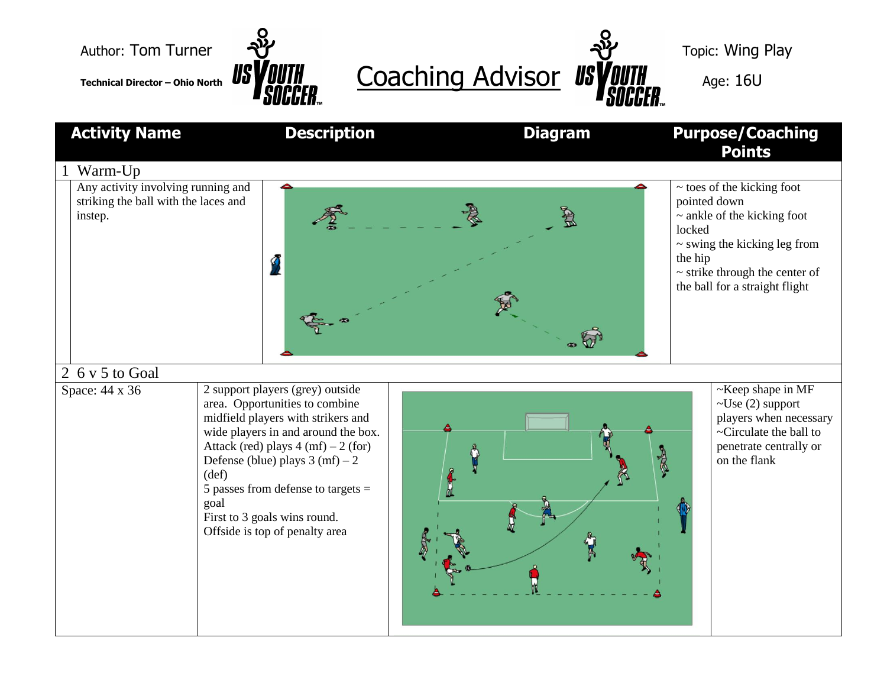



| <b>Activity Name</b>                                                                  | <b>Description</b>                                                                                                                                                                                                                                                                                                                                                               | <b>Diagram</b> | <b>Purpose/Coaching</b><br><b>Points</b>                                                                                                                                                                               |
|---------------------------------------------------------------------------------------|----------------------------------------------------------------------------------------------------------------------------------------------------------------------------------------------------------------------------------------------------------------------------------------------------------------------------------------------------------------------------------|----------------|------------------------------------------------------------------------------------------------------------------------------------------------------------------------------------------------------------------------|
| Warm-Up                                                                               |                                                                                                                                                                                                                                                                                                                                                                                  |                |                                                                                                                                                                                                                        |
| Any activity involving running and<br>striking the ball with the laces and<br>instep. | g                                                                                                                                                                                                                                                                                                                                                                                | $\bullet$      | $\sim$ toes of the kicking foot<br>pointed down<br>$\sim$ ankle of the kicking foot<br>locked<br>$\sim$ swing the kicking leg from<br>the hip<br>$\sim$ strike through the center of<br>the ball for a straight flight |
| 2 6 v 5 to Goal<br>Space: 44 x 36                                                     | 2 support players (grey) outside<br>area. Opportunities to combine<br>midfield players with strikers and<br>wide players in and around the box.<br>Attack (red) plays $4 \text{ (mf)} - 2 \text{ (for)}$<br>Defense (blue) plays $3 \text{ (mf)} - 2$<br>(def)<br>5 passes from defense to targets $=$<br>goal<br>First to 3 goals wins round.<br>Offside is top of penalty area | <b>REFER</b>   | $\sim$ Keep shape in MF<br>$\sim U$ se (2) support<br>players when necessary<br>~Circulate the ball to<br>penetrate centrally or<br>on the flank                                                                       |